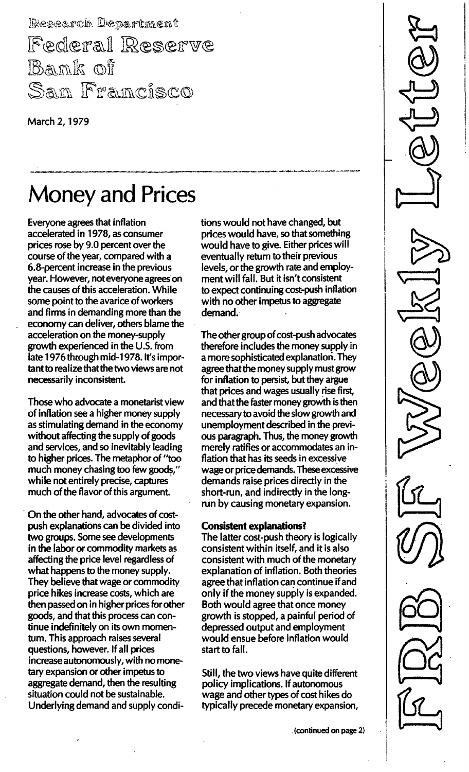Research Department Federal Reserve Bamk of San Francisco

March 2, 1979

# **Money and Prices**

Everyone agrees that inflation accelerated in 1978, as consumer prices rose by 9.0 percent over the course of the year, compared with a 6.8-percent increase in the previous year. However, not everyone agrees on the causes of this acceleration. While some point to the avarice of workers and firms in demanding more than the economy can deliver, others blame the acceleration on the money-supply growth experienced in the U.S. from late 1976 through mid-1978. It's important to realize that the two views are not necessarily inconsistent.

Those who advocate a monetarist view of inflation see a higher money supply as stimulating demand in the economy without affecting the supply of goods and services, and so inevitably leading to higher prices. The metaphor of "too much money chasing too few goods," while not entirely precise, captures much of the flavor of this argument.

On the other hand, advocates of costpush explanations can be divided into two groups. Some see developments in the labor or commodity markets as affecting the price level regardless of what happens to the money supply. They believe that wage or commodity price hikes increase costs, which are then passed on in higher prices for other goods, and that this process can continue indefinitely on its own momentum. This approach raises several questions, however. If all prices increase autonomously, with no monetary expansion or other impetus to aggregate demand, then the resulting situation could not be sustainable. Underlying demand and supply conditions would not have changed, but prices would have, so that something would have to give. Either prices will eventually return to their previous levels, or the growth rate and employment will fall. But it isn't consistent to expect continuing cost-push inflation with no other impetus to aggregate demand.

The other group of cost-push advocates therefore includes the money supply in a more sophisticated explanation. They agree that the money supply must grow for inflation to persist, but they argue that prices and wages usually rise first, and that the faster money growth is then necessary to avoid the slow growth and unemployment described in the previous paragraph. Thus, the money growth merely ratifies or accommodates an inflation that has its seeds in excessive wage or price demands. These excessive demands raise prices directly in the short-run, and indirectly in the longrun by causing monetary expansion.

#### Consistent explanations?

The latter cost-push theory is logically consistent within itself, and it is also consistent with much of the monetary explanation of inflation. Both theories agree that inflation can continue if and only if the money supply is expanded. Both would agree that once money growth is stopped, a painful period of depressed output and employment would ensue before inflation would start to fall.

Still, the two views have quite different policy implications. If autonomous wage and other types of cost hikes do typically precede monetary expansion,

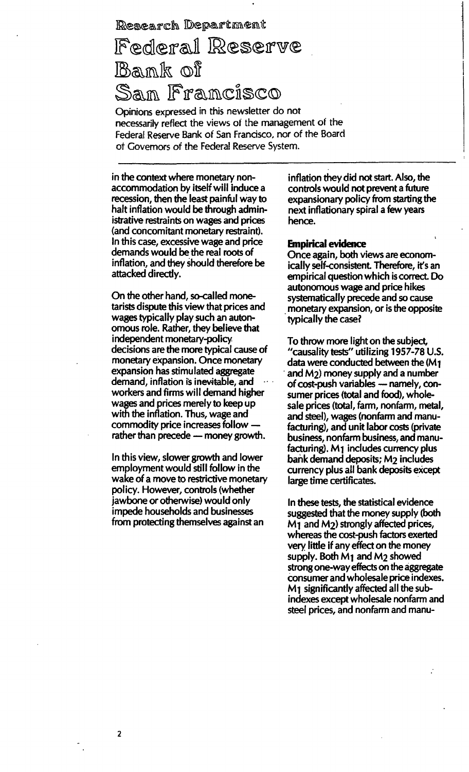### Research Department Federal Reserve Bank of Sam Framcisco

Opinions expressed in this newsletter do not . necessarily reflect the views of the management of the Federal Reserve Bank of San Francisco, nor of the Board of Governors of the Federal Reserve System.

in the context where monetary nonaccommodation by itself will 'induce a recession, then the least painful way to halt inflation would be through administrative restraints on wages and prices (and concomitant monetary restraint). In this case, excessive wage and price demands would be the real roots of inflation, and they should therefore be attacked directly.

On the other hand, so-called monetarists dispute this view that prices and wages typically play such an autonomous role. Rather, they bel ieve that independent monetary-policy decisions are the more typical cause of monetary expansion. Once monetary expansion has stimulated aggregate demand, inflation is inevitable, and workers and firms will demand higher wages and prices merely to keep up with the inflation. Thus, wage and commodity price increases followrather than precede  $-$  money growth.

In this view, slower growth and lower employment would still follow in the wake of a move to restrictive monetary policy. However, controls (whether jawbone or otherwise) would only impede households and businesses from protecting themselves against an

inflation they did not start. Also, the controls would not prevent a future expansionary policy from starting the next inflationary spiral a few years hence.

#### Empirical evidence

Once again, both views are economically self-consistent. Therefore, it's an empirical question which is correct. Do autonomous wage and price hikes systematically precede and so cause monetary expansion, or is the opposite . typically the case?

To throw more light on the subject, "causality tests" utilizing 1957-78 U.S. data were conducted between the  $(M_1)$ and M2) money supply and a number of cost-push variables - namely, consumer prices (total and food), wholesale prices (total, farm, nonfarm, metal, and steel), wages (nonfarm and manufacturing), and unit labor costs (private business, nonfarm business, and manufacturing). M<sub>1</sub> includes currency plus bank demand deposits; M2 includes currency plus all bank deposits except large time certificates.

In these tests, the statistical evidence suggested that the money supply (both  $M_1$  and  $M_2$ ) strongly affected prices, whereas the cost-push factors exerted very little if any effect on the money supply. Both M1 and M2 showed strong one-way effects on the aggregate consumer and wholesale price indexes. M1 significantly affected all the subindexes except wholesale nonfarm and steel prices, and nonfarm and manu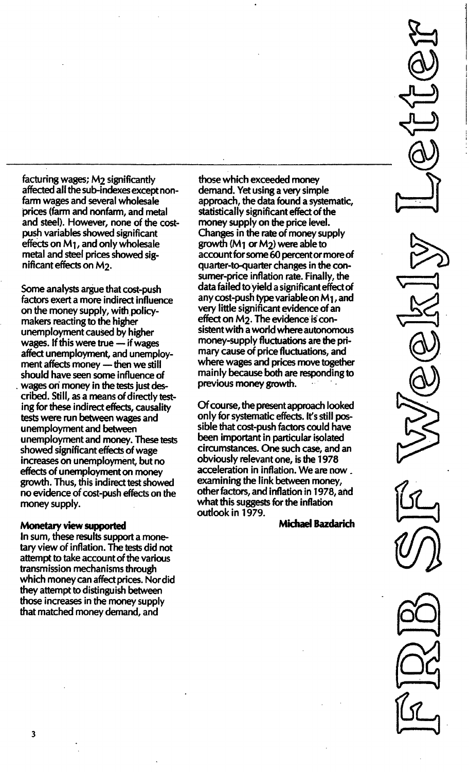facturing wages; M2 significantly affected all the sub-indexes except nonfarm wages and several wholesale prices (farm and nonfarm, and metal and steel). However, none of the costpush variables showed significant effects on  $M_1$ , and only wholesale metal and steel prices showed significant effects on M2.

Some analysts argue that cost-push factors exert a more indirect influence on the money supply, with policymakers reacting to the higher unemployment caused by higher wages. If this were true  $-$  if wages affect unemployment, and unemployment affects money  $-$  then we still should have seen some influence of , wages on money in the tests just described. Still, as a means of directly testing for these indirect effects, causality tests were run between wages and unemployment and between unemployment and money. These tests showed significant effects of wage increases on unemployment, but no effects of unemployment on money growth. Thus, this indirect test showed no evidence of cost-push effects on the money supply.

#### Monetary view supported

In sum, these results support a monetary view of inflation. The tests did not attempt to take account of the various transmission mechanisms through which money can affect prices. Nor did they attempt to distinguish between those increases in the money supply that matched money demand, and

those which exceeded money demand. Yet using a very simple approach, the data found a systematic, statistically significant effect of the money supply on the price level. Changes in the rate of money supply growth ( $M_1$  or  $M_2$ ) were able to account for some 60 percent or more of quarter-to-quarter changes in the consumer-price inflation rate. Finally, the data failed to yield a significant effect of any cost-push type variable on  $M_1$ , and very little significant evidence of an effect on  $M_2$ . The evidence is consistent with a world where autonomous money-supply fluctuations are the primary cause of price fluctuations, and where wages and prices move together mainly because both are responding to previous money growth.

Of course, the present approach looked only for systematic effects. It's still possible that cost-push factors could have been important in particular isolated circumstances. One such case, and an obviously relevant one, is the 1978 acceleration in inflation. We are now \_ examining the link between money, other factors, and inflation in 1978, and what this suggests for the inflation outlook in 1979.

Michael Bazdarich